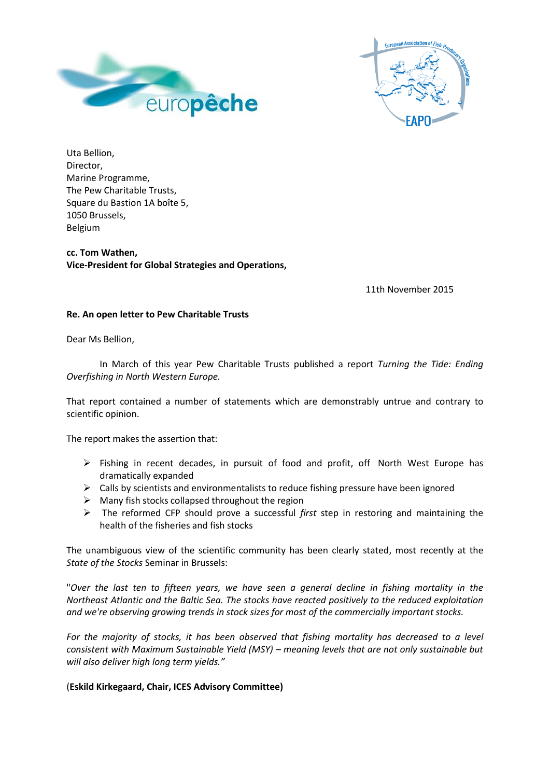



Uta Bellion, Director, Marine Programme, The Pew Charitable Trusts, Square du Bastion 1A boîte 5, 1050 Brussels, Belgium

**cc. Tom Wathen, Vice-President for Global Strategies and Operations,**

11th November 2015

## **Re. An open letter to Pew Charitable Trusts**

Dear Ms Bellion,

In March of this year Pew Charitable Trusts published a report *Turning the Tide: Ending Overfishing in North Western Europe.* 

That report contained a number of statements which are demonstrably untrue and contrary to scientific opinion.

The report makes the assertion that:

- $\triangleright$  Fishing in recent decades, in pursuit of food and profit, off North West Europe has dramatically expanded
- $\triangleright$  Calls by scientists and environmentalists to reduce fishing pressure have been ignored
- $\triangleright$  Many fish stocks collapsed throughout the region
- The reformed CFP should prove a successful *first* step in restoring and maintaining the health of the fisheries and fish stocks

The unambiguous view of the scientific community has been clearly stated, most recently at the *State of the Stocks* Seminar in Brussels:

"*Over the last ten to fifteen years, we have seen a general decline in fishing mortality in the Northeast Atlantic and the Baltic Sea. The stocks have reacted positively to the reduced exploitation and we're observing growing trends in stock sizes for most of the commercially important stocks.* 

For the majority of stocks, it has been observed that fishing mortality has decreased to a level *consistent with Maximum Sustainable Yield (MSY) – meaning levels that are not only sustainable but will also deliver high long term yields."*

## (**Eskild Kirkegaard, Chair, ICES Advisory Committee)**